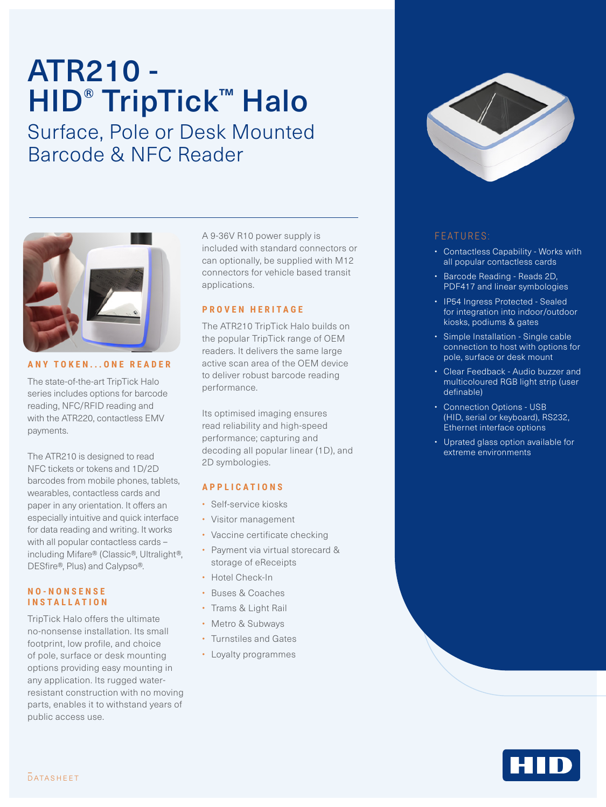# ATR210 - HID<sup>®</sup> TripTick™ Halo

Surface, Pole or Desk Mounted Barcode & NFC Reader



**ANY TOKEN...ONE READER**

The state-of-the-art TripTick Halo series includes options for barcode reading, NFC/RFID reading and with the ATR220, contactless EMV payments.

The ATR210 is designed to read NFC tickets or tokens and 1D/2D barcodes from mobile phones, tablets, wearables, contactless cards and paper in any orientation. It offers an especially intuitive and quick interface for data reading and writing. It works with all popular contactless cards – including Mifare® (Classic®, Ultralight®, DESfire®, Plus) and Calypso®.

#### **N O - N O N S E N S E INSTALLATION**

TripTick Halo offers the ultimate no-nonsense installation. Its small footprint, low profile, and choice of pole, surface or desk mounting options providing easy mounting in any application. Its rugged waterresistant construction with no moving parts, enables it to withstand years of public access use.

A 9-36V R10 power supply is included with standard connectors or can optionally, be supplied with M12 connectors for vehicle based transit applications.

#### **PROVEN HERITAGE**

The ATR210 TripTick Halo builds on the popular TripTick range of OEM readers. It delivers the same large active scan area of the OEM device to deliver robust barcode reading performance.

Its optimised imaging ensures read reliability and high-speed performance; capturing and decoding all popular linear (1D), and 2D symbologies.

#### **APPLICATIONS**

- Self-service kiosks
- Visitor management
- Vaccine certificate checking
- Payment via virtual storecard & storage of eReceipts
- Hotel Check-In
- Buses & Coaches
- Trams & Light Rail
- Metro & Subways
- Turnstiles and Gates
- Loyalty programmes



### FEATURES:

- Contactless Capability Works with all popular contactless cards
- Barcode Reading Reads 2D, PDF417 and linear symbologies
- IP54 Ingress Protected Sealed for integration into indoor/outdoor kiosks, podiums & gates
- Simple Installation Single cable connection to host with options for pole, surface or desk mount
- Clear Feedback Audio buzzer and multicoloured RGB light strip (user definable)
- Connection Options USB (HID, serial or keyboard), RS232, Ethernet interface options
- Uprated glass option available for extreme environments